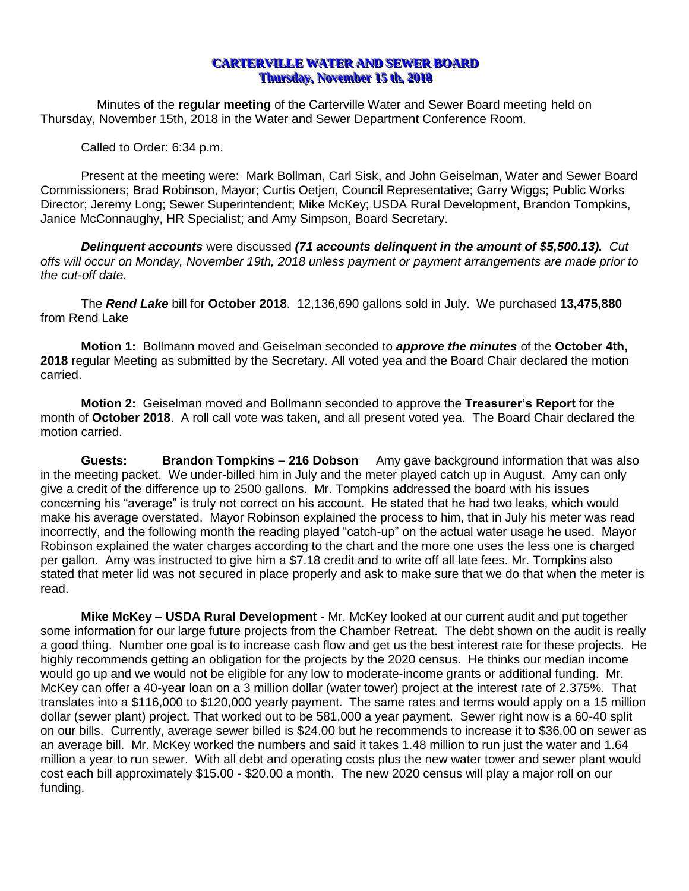## **CARTERVILLE WATER AND SEWER BOARD Thursday, November 15 th, 2018**

Minutes of the **regular meeting** of the Carterville Water and Sewer Board meeting held on Thursday, November 15th, 2018 in the Water and Sewer Department Conference Room.

Called to Order: 6:34 p.m.

Present at the meeting were: Mark Bollman, Carl Sisk, and John Geiselman, Water and Sewer Board Commissioners; Brad Robinson, Mayor; Curtis Oetjen, Council Representative; Garry Wiggs; Public Works Director; Jeremy Long; Sewer Superintendent; Mike McKey; USDA Rural Development, Brandon Tompkins, Janice McConnaughy, HR Specialist; and Amy Simpson, Board Secretary.

*Delinquent accounts* were discussed *(71 accounts delinquent in the amount of \$5,500.13). Cut offs will occur on Monday, November 19th, 2018 unless payment or payment arrangements are made prior to the cut-off date.*

The *Rend Lake* bill for **October 2018**. 12,136,690 gallons sold in July. We purchased **13,475,880**  from Rend Lake

**Motion 1:** Bollmann moved and Geiselman seconded to *approve the minutes* of the **October 4th, 2018** regular Meeting as submitted by the Secretary. All voted yea and the Board Chair declared the motion carried.

**Motion 2:** Geiselman moved and Bollmann seconded to approve the **Treasurer's Report** for the month of **October 2018**. A roll call vote was taken, and all present voted yea. The Board Chair declared the motion carried.

**Guests: Brandon Tompkins – 216 Dobson** Amy gave background information that was also in the meeting packet. We under-billed him in July and the meter played catch up in August. Amy can only give a credit of the difference up to 2500 gallons. Mr. Tompkins addressed the board with his issues concerning his "average" is truly not correct on his account. He stated that he had two leaks, which would make his average overstated. Mayor Robinson explained the process to him, that in July his meter was read incorrectly, and the following month the reading played "catch-up" on the actual water usage he used. Mayor Robinson explained the water charges according to the chart and the more one uses the less one is charged per gallon. Amy was instructed to give him a \$7.18 credit and to write off all late fees. Mr. Tompkins also stated that meter lid was not secured in place properly and ask to make sure that we do that when the meter is read.

**Mike McKey – USDA Rural Development** - Mr. McKey looked at our current audit and put together some information for our large future projects from the Chamber Retreat. The debt shown on the audit is really a good thing. Number one goal is to increase cash flow and get us the best interest rate for these projects. He highly recommends getting an obligation for the projects by the 2020 census. He thinks our median income would go up and we would not be eligible for any low to moderate-income grants or additional funding. Mr. McKey can offer a 40-year loan on a 3 million dollar (water tower) project at the interest rate of 2.375%. That translates into a \$116,000 to \$120,000 yearly payment. The same rates and terms would apply on a 15 million dollar (sewer plant) project. That worked out to be 581,000 a year payment. Sewer right now is a 60-40 split on our bills. Currently, average sewer billed is \$24.00 but he recommends to increase it to \$36.00 on sewer as an average bill. Mr. McKey worked the numbers and said it takes 1.48 million to run just the water and 1.64 million a year to run sewer. With all debt and operating costs plus the new water tower and sewer plant would cost each bill approximately \$15.00 - \$20.00 a month. The new 2020 census will play a major roll on our funding.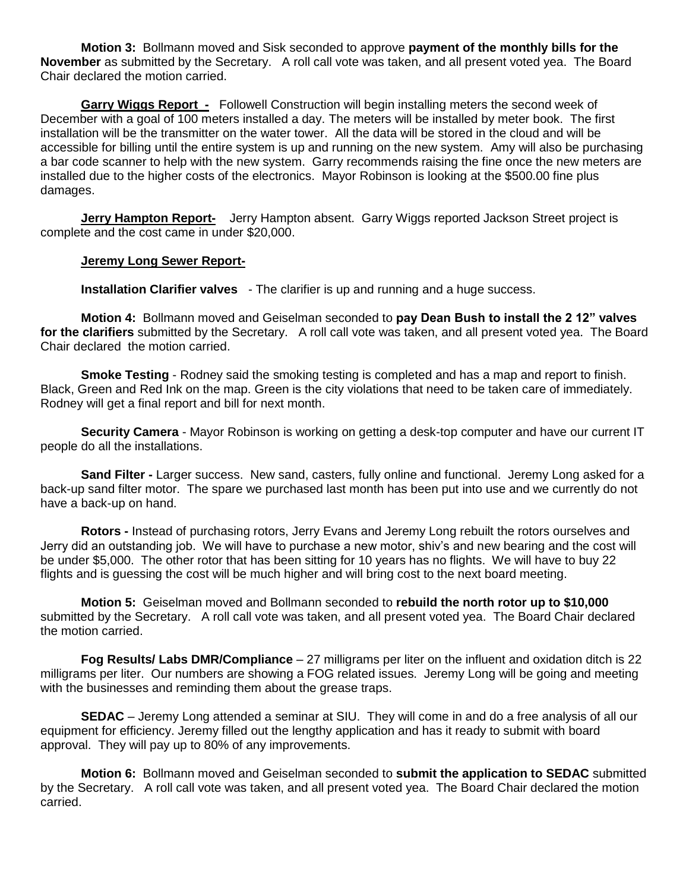**Motion 3:** Bollmann moved and Sisk seconded to approve **payment of the monthly bills for the November** as submitted by the Secretary. A roll call vote was taken, and all present voted yea. The Board Chair declared the motion carried.

**Garry Wiggs Report -** Followell Construction will begin installing meters the second week of December with a goal of 100 meters installed a day. The meters will be installed by meter book. The first installation will be the transmitter on the water tower. All the data will be stored in the cloud and will be accessible for billing until the entire system is up and running on the new system. Amy will also be purchasing a bar code scanner to help with the new system. Garry recommends raising the fine once the new meters are installed due to the higher costs of the electronics. Mayor Robinson is looking at the \$500.00 fine plus damages.

**Jerry Hampton Report-** Jerry Hampton absent. Garry Wiggs reported Jackson Street project is complete and the cost came in under \$20,000.

## **Jeremy Long Sewer Report-**

**Installation Clarifier valves** - The clarifier is up and running and a huge success.

**Motion 4:** Bollmann moved and Geiselman seconded to **pay Dean Bush to install the 2 12" valves for the clarifiers** submitted by the Secretary. A roll call vote was taken, and all present voted yea. The Board Chair declared the motion carried.

**Smoke Testing** - Rodney said the smoking testing is completed and has a map and report to finish. Black, Green and Red Ink on the map. Green is the city violations that need to be taken care of immediately. Rodney will get a final report and bill for next month.

**Security Camera** - Mayor Robinson is working on getting a desk-top computer and have our current IT people do all the installations.

**Sand Filter -** Larger success. New sand, casters, fully online and functional. Jeremy Long asked for a back-up sand filter motor. The spare we purchased last month has been put into use and we currently do not have a back-up on hand.

**Rotors -** Instead of purchasing rotors, Jerry Evans and Jeremy Long rebuilt the rotors ourselves and Jerry did an outstanding job. We will have to purchase a new motor, shiv's and new bearing and the cost will be under \$5,000. The other rotor that has been sitting for 10 years has no flights. We will have to buy 22 flights and is guessing the cost will be much higher and will bring cost to the next board meeting.

**Motion 5:** Geiselman moved and Bollmann seconded to **rebuild the north rotor up to \$10,000** submitted by the Secretary. A roll call vote was taken, and all present voted yea. The Board Chair declared the motion carried.

**Fog Results/ Labs DMR/Compliance** – 27 milligrams per liter on the influent and oxidation ditch is 22 milligrams per liter. Our numbers are showing a FOG related issues. Jeremy Long will be going and meeting with the businesses and reminding them about the grease traps.

**SEDAC** – Jeremy Long attended a seminar at SIU. They will come in and do a free analysis of all our equipment for efficiency. Jeremy filled out the lengthy application and has it ready to submit with board approval. They will pay up to 80% of any improvements.

**Motion 6:** Bollmann moved and Geiselman seconded to **submit the application to SEDAC** submitted by the Secretary. A roll call vote was taken, and all present voted yea. The Board Chair declared the motion carried.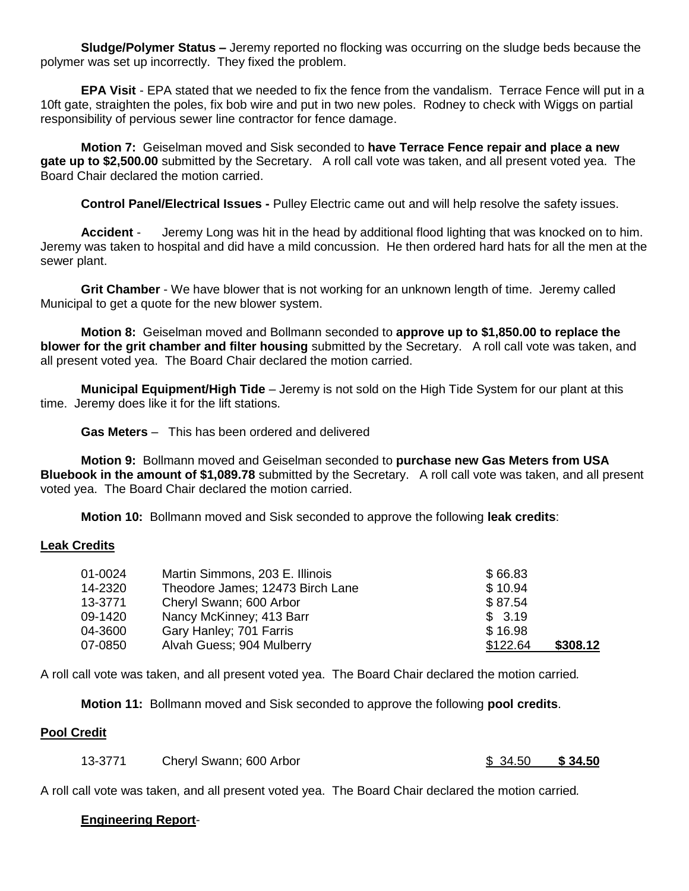**Sludge/Polymer Status –** Jeremy reported no flocking was occurring on the sludge beds because the polymer was set up incorrectly. They fixed the problem.

**EPA Visit** - EPA stated that we needed to fix the fence from the vandalism. Terrace Fence will put in a 10ft gate, straighten the poles, fix bob wire and put in two new poles. Rodney to check with Wiggs on partial responsibility of pervious sewer line contractor for fence damage.

**Motion 7:** Geiselman moved and Sisk seconded to **have Terrace Fence repair and place a new gate up to \$2,500.00** submitted by the Secretary. A roll call vote was taken, and all present voted yea. The Board Chair declared the motion carried.

**Control Panel/Electrical Issues -** Pulley Electric came out and will help resolve the safety issues.

**Accident** - Jeremy Long was hit in the head by additional flood lighting that was knocked on to him. Jeremy was taken to hospital and did have a mild concussion. He then ordered hard hats for all the men at the sewer plant.

**Grit Chamber** - We have blower that is not working for an unknown length of time. Jeremy called Municipal to get a quote for the new blower system.

**Motion 8:** Geiselman moved and Bollmann seconded to **approve up to \$1,850.00 to replace the blower for the grit chamber and filter housing** submitted by the Secretary. A roll call vote was taken, and all present voted yea. The Board Chair declared the motion carried.

**Municipal Equipment/High Tide** – Jeremy is not sold on the High Tide System for our plant at this time. Jeremy does like it for the lift stations.

**Gas Meters** – This has been ordered and delivered

**Motion 9:** Bollmann moved and Geiselman seconded to **purchase new Gas Meters from USA Bluebook in the amount of \$1,089.78** submitted by the Secretary. A roll call vote was taken, and all present voted yea. The Board Chair declared the motion carried.

**Motion 10:** Bollmann moved and Sisk seconded to approve the following **leak credits**:

### **Leak Credits**

| 01-0024 | Martin Simmons, 203 E. Illinois  | \$66.83  |          |
|---------|----------------------------------|----------|----------|
| 14-2320 | Theodore James; 12473 Birch Lane | \$10.94  |          |
| 13-3771 | Cheryl Swann; 600 Arbor          | \$87.54  |          |
| 09-1420 | Nancy McKinney; 413 Barr         | \$3.19   |          |
| 04-3600 | Gary Hanley; 701 Farris          | \$16.98  |          |
| 07-0850 | Alvah Guess; 904 Mulberry        | \$122.64 | \$308.12 |

A roll call vote was taken, and all present voted yea. The Board Chair declared the motion carried*.*

**Motion 11:** Bollmann moved and Sisk seconded to approve the following **pool credits**.

# **Pool Credit**

| 13-3771 | Cheryl Swann; 600 Arbor | \$34.50 | \$34.50 |
|---------|-------------------------|---------|---------|
|---------|-------------------------|---------|---------|

A roll call vote was taken, and all present voted yea. The Board Chair declared the motion carried*.*

# **Engineering Report**-